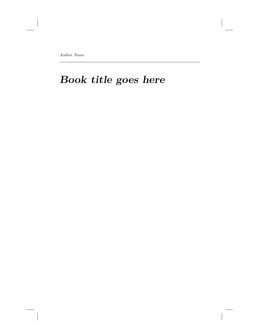Author Name

# Book title goes here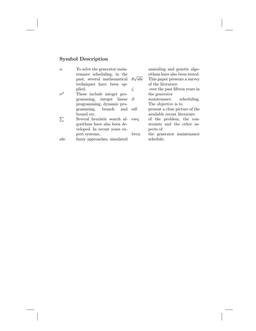# Symbol Description

| $\alpha$   | To solve the generator main-<br>tenance scheduling, in the |                     | annealing and genetic algo-<br>rithms have also been tested. |  |  |
|------------|------------------------------------------------------------|---------------------|--------------------------------------------------------------|--|--|
|            | past, several mathematical                                 | $\theta \sqrt{abc}$ | This paper presents a survey                                 |  |  |
|            | techniques have been ap-                                   |                     | of the literature                                            |  |  |
|            | plied.                                                     |                     | over the past fifteen years in                               |  |  |
| $\sigma^2$ | These include integer pro-                                 |                     | the generator                                                |  |  |
|            | gramming, integer linear $\partial$                        |                     | maintenance scheduling.                                      |  |  |
|            | programming, dynamic pro-                                  |                     | The objective is to                                          |  |  |
|            | gramming, branch<br>and                                    | sdf                 | present a clear picture of the                               |  |  |
|            | bound etc.                                                 |                     | available recent literature                                  |  |  |
| $\sum$     | Several heuristic search al-                               | ewa                 | of the problem, the con-                                     |  |  |
|            | gorithms have also been de-                                |                     | straints and the other as-                                   |  |  |
|            | veloped. In recent years ex-                               |                     | pects of                                                     |  |  |
|            | pert systems,                                              | bvcn                | the generator maintenance                                    |  |  |
| abc        | fuzzy approaches, simulated                                |                     | schedule.                                                    |  |  |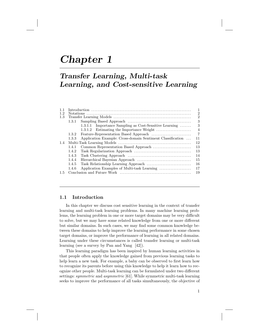# Chapter 1

# Transfer Learning, Multi-task Learning, and Cost-sensitive Learning

| 1.1           |       |                                                            | 1                                |  |  |
|---------------|-------|------------------------------------------------------------|----------------------------------|--|--|
| 1.2           |       |                                                            | $\overline{2}$<br>$\overline{2}$ |  |  |
| 1.3           |       |                                                            |                                  |  |  |
|               | 1.3.1 |                                                            | 3                                |  |  |
|               |       | 1.3.1.1 Importance Sampling as Cost-Sensitive Learning     | 3                                |  |  |
|               |       |                                                            | $\overline{4}$                   |  |  |
|               | 1.3.2 |                                                            | $\overline{7}$                   |  |  |
|               | 1.3.3 | Application Example: Cross-domain Sentiment Classification | 11                               |  |  |
| $1.4^{\circ}$ |       |                                                            | 12                               |  |  |
|               | 1.4.1 |                                                            | 13                               |  |  |
|               | 1.4.2 |                                                            | 13                               |  |  |
|               | 1.4.3 |                                                            | 14                               |  |  |
|               | 1.4.4 |                                                            | 15                               |  |  |
|               | 1.4.5 |                                                            | 16                               |  |  |
|               | 1.4.6 | Application Examples of Multi-task Learning                | 17                               |  |  |
| 1.5           |       |                                                            | 19                               |  |  |
|               |       |                                                            |                                  |  |  |

### 1.1 Introduction

In this chapter we discuss cost sensitive learning in the context of transfer learning and multi-task learning problems. In many machine learning problems, the learning problem in one or more target domains may be very difficult to solve, but we may have some related knowledge from one or more different but similar domains. In such cases, we may find some common knowledge between these domains to help improve the learning performance in some chosen target domains, or improve the performance of learning in all related domains. Learning under these circumstances is called transfer learning or multi-task learning (see a survey by Pan and Yang [42]).

This learning paradigm has been inspired by human learning activities in that people often apply the knowledge gained from previous learning tasks to help learn a new task. For example, a baby can be observed to first learn how to recognize its parents before using this knowledge to help it learn how to recognize other people. Multi-task learning can be formulated under two different settings: *symmetric* and *asymmetric* [61]. While symmetric multi-task learning seeks to improve the performance of all tasks simultaneously, the objective of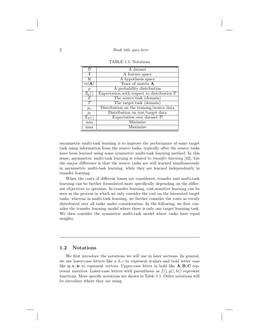2 Book title goes here

| $\mathcal{D}$                                | A dataset                                  |
|----------------------------------------------|--------------------------------------------|
| $\overline{\mathcal{X}}$                     | A feature space                            |
| $\mathcal H$                                 | A hypothesis space                         |
| tr(A)                                        | Trace of matrix A                          |
| р                                            | A probability distribution                 |
| $\frac{\mathbb{E}_p[\cdot]}{\mathcal{S}}$    | Expectation with respect to distribution P |
|                                              | The source task (domain)                   |
| $\tau$                                       | The target task (domain)                   |
| $p_s$                                        | Distribution on the training/source data   |
| $p_t$                                        | Distribution on test/target data           |
| $\mathbb{E}_{\mathcal{D}}\left \cdot\right $ | Expectation over dataset $D$               |
| min                                          | Minimize                                   |
| max                                          | Maximize                                   |

asymmetric multi-task learning is to improve the performance of some target task using information from the source tasks, typically after the source tasks have been learned using some symmetric multi-task learning method. In this sense, asymmetric multi-task learning is related to transfer learning [42], but the major difference is that the source tasks are still learned simultaneously in asymmetric multi-task learning, while they are learned independently in transfer learning.

When the costs of different losses are considered, transfer and multi-task learning can be further formulated more specifically depending on the different objectives to optimize. In transfer learning, cost-sensitive learning can be seen as the process in which we only consider the cost on the interested target tasks, whereas in multi-task learning, we further consider the costs as evenly distributed over all tasks under consideration. In the following, we first consider the transfer learning model where there is only one target learning task. We then consider the symmetric multi-task model where tasks have equal weights.

#### 1.2 Notations

We first introduce the notations we will use in later sections. In general, we use lower-case letters like  $a, b, c$  to represent scalars and bold letter case like  $u, v, w$  to represent vectors. Upper-case letter in bold like  $A, B, C$  represent matrices. Lower-case letters with parenthesis as  $f(), g(), h()$  represent functions. More specific notations are shown in Table 1.1. Other notations will be introduce where they are using.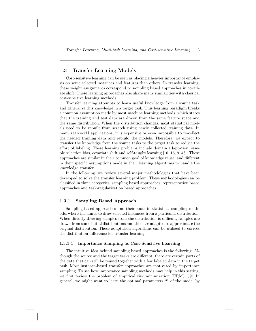#### 1.3 Transfer Learning Models

Cost-sensitive learning can be seen as placing a heavier importance emphasis on some selected instances and features than others. In transfer learning, these weight assignments correspond to sampling based approaches in covariate shift. These learning approaches also share many similarities with classical cost-sensitive learning methods.

Transfer learning attempts to learn useful knowledge from a source task and generalize this knowledge in a target task. This learning paradigm breaks a common assumption made by most machine learning methods, which states that the training and test data are drawn from the same feature space and the same distribution. When the distribution changes, most statistical models need to be rebuilt from scratch using newly collected training data. In many real-world applications, it is expensive or even impossible to re-collect the needed training data and rebuild the models. Therefore, we expect to transfer the knowledge from the source tasks to the target task to reduce the effort of labeling. These learning problems include domain adaptation, sample selection bias, covariate shift and self-taught learning [10, 16, 9, 48]. These approaches are similar in their common goal of knowledge reuse, and different in their specific assumptions made in their learning algorithms to handle the knowledge transfer.

In the following, we review several major methodologies that have been developed to solve the transfer learning problem. These methodologies can be classified in three categories: sampling based approaches, representation based approaches and task-regularization based approaches.

#### 1.3.1 Sampling Based Approach

Sampling-based approaches find their roots in statistical sampling methods, where the aim is to draw selected instances from a particular distribution. When directly drawing samples from the distribution is difficult, samples are drawn from some initial distributions and then are adapted to approximate the original distribution. These adaptation algorithms can be utilized to correct the distribution difference for transfer learning.

#### 1.3.1.1 Importance Sampling as Cost-Sensitive Learning

The intuitive idea behind sampling based approaches is the following. Although the source and the target tasks are different, there are certain parts of the data that can still be reused together with a few labeled data in the target task. Most instance-based transfer approaches are motivated by importance sampling. To see how importance sampling methods may help in this setting, we first review the problem of empirical risk minimization (ERM) [59]. In general, we might want to learn the optimal parameters  $\theta^*$  of the model by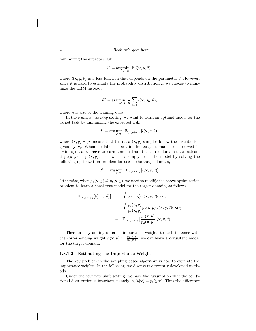minimizing the expected risk,

$$
\theta^* = \arg\min_{\theta \in \Theta} \ \mathbb{E}[l(\mathbf{x}, y, \theta)],
$$

where  $l(\mathbf{x}, y, \theta)$  is a loss function that depends on the parameter  $\theta$ . However, since it is hard to estimate the probability distribution  $p$ , we choose to minimize the ERM instead,

$$
\theta^* = \arg\min_{\theta \in \Theta} \frac{1}{n} \sum_{i=1}^n l(\mathbf{x}_i, y_i, \theta),
$$

where  $n$  is size of the training data.

In the transfer learning setting, we want to learn an optimal model for the target task by minimizing the expected risk,

$$
\theta^* = \arg\min_{\theta \in \Theta} \ \mathbb{E}_{(\mathbf{x},y) \sim p_t}[l(\mathbf{x}, y, \theta)],
$$

where  $(\mathbf{x}, y) \sim p_t$  means that the data  $(\mathbf{x}, y)$  samples follow the distribution given by  $p_t$ . When no labeled data in the target domain are observed in training data, we have to learn a model from the source domain data instead. If  $p_s(\mathbf{x}, y) = p_t(\mathbf{x}, y)$ , then we may simply learn the model by solving the following optimization problem for use in the target domain,

$$
\theta^* = \arg\min_{\theta \in \Theta} \ \mathbb{E}_{(\mathbf{x}, y) \sim p_s}[l(\mathbf{x}, y, \theta)],
$$

Otherwise, when  $p_s(\mathbf{x}, y) \neq p_t(\mathbf{x}, y)$ , we need to modify the above optimization problem to learn a consistent model for the target domain, as follows:

$$
\mathbb{E}_{(\mathbf{x},y)\sim p_t}[l(\mathbf{x},y,\theta)] = \int p_t(\mathbf{x},y) l(\mathbf{x},y,\theta) d\mathbf{x} dy
$$
  
\n
$$
= \int \frac{p_t(\mathbf{x},y)}{p_s(\mathbf{x},y)} p_s(\mathbf{x},y) l(\mathbf{x},y,\theta) d\mathbf{x} dy
$$
  
\n
$$
= \mathbb{E}_{(\mathbf{x},y)\sim p_s} \left[ \frac{p_t(\mathbf{x},y)}{p_s(\mathbf{x},y)} l(\mathbf{x},y,\theta) \right]
$$

Therefore, by adding different importance weights to each instance with the corresponding weight  $\beta(\mathbf{x}, y) := \frac{p_t(\mathbf{x}, y)}{p_s(\mathbf{x}, y)}$ , we can learn a consistent model for the target domain.

#### 1.3.1.2 Estimating the Importance Weight

The key problem in the sampling based algorithm is how to estimate the importance weights. In the following, we discuss two recently developed methods.

Under the covariate shift setting, we have the assumption that the conditional distribution is invariant, namely,  $p_s(y|\mathbf{x}) = p_t(y|\mathbf{x})$ . Thus the difference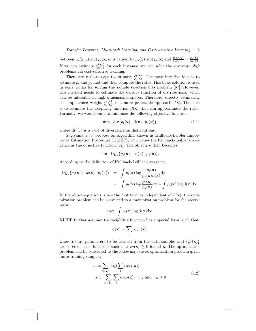between  $p_s(\mathbf{x}, y)$  and  $p_t(\mathbf{x}, y)$  is caused by  $p_s(\mathbf{x})$  and  $p_t(\mathbf{x})$  and  $\frac{p_t(\mathbf{x}, y)}{p_s(\mathbf{x}, y)} = \frac{p_s(\mathbf{x})}{p_t(\mathbf{x})}$  $\frac{p_s(\mathbf{x})}{p_t(\mathbf{x})}$ . If we can estimate  $\frac{p(\mathbf{x}_s)}{p(\mathbf{x}_t)}$  for each instance, we can solve the *covariate shift* problems via cost-sensitive learning.

There are various ways to estimate  $\frac{p_t(\mathbf{x})}{p_s(\mathbf{x})}$ . The most intuitive idea is to estimate  $p_t$  and  $p_s$  first and then compute the ratio. This basic solution is used in early works for solving the sample selection bias problem [67]. However, this method needs to estimate the density function of distributions, which can be infeasible in high dimensional spaces. Therefore, directly estimating the importance weight  $\frac{p_t(\mathbf{x})}{p_s(\mathbf{x})}$  is a more preferable approach [58]. The idea is to estimate the weighting function  $\beta(\mathbf{x})$  that can approximate the ratio. Formally, we would want to minimize the following objective function

$$
\min \quad \text{div}\big(p_t(\mathbf{x}), \ \beta(\mathbf{x}) \cdot p_s(\mathbf{x})\big) \tag{1.1}
$$

.

where  $div($ ,  $)$  is a type of divergence on distributions.

Sugiyama et al. propose an algorithm known as Kullback-Leibler Importance Estimation Procedure (KLIEP), which uses the Kullback-Leibler divergence as the objective function [52]. The objective then becomes

$$
\min \ \mathbf{D}_{\mathrm{KL}}(p_t(\mathbf{x}) \mid \mid \beta(\mathbf{x}) \cdot p_s(\mathbf{x}))
$$

According to the definition of Kullback-Leibler divergence,

$$
D_{KL}(p_t(\mathbf{x}) \parallel w(\mathbf{x}) \cdot p_s(\mathbf{x})) = \int p_t(\mathbf{x}) \log \frac{p_t(\mathbf{x})}{p_s(\mathbf{x})\beta(\mathbf{x})} d\mathbf{x}
$$
  
= 
$$
\int p_t(\mathbf{x}) \log \frac{p_t(\mathbf{x})}{p_s(\mathbf{x})} d\mathbf{x} - \int p_t(\mathbf{x}) \log \beta(\mathbf{x}) d\mathbf{x}.
$$

In the above equations, since the first term is independent of  $\beta(\mathbf{x})$ , the optimization problem can be converted to a maximization problem for the second term:

$$
\max \int p_t(\mathbf{x}) \log \beta(\mathbf{x}) \mathrm{d}\mathbf{x}.
$$

KLIEP further assumes the weighting function has a special form, such that

$$
w(\mathbf{x}) = \sum_{l} \alpha_l \varphi_l(\mathbf{x}),
$$

where  $\alpha_l$  are parameters to be learned from the data samples and  $\{\varphi_l(\mathbf{x})\}$ are a set of basis functions such that  $\varphi_l(\mathbf{x}) \geq 0$  for all x. The optimization problem can be converted to the following convex optimization problem given finite training samples,

$$
\max \sum_{\mathbf{x} \in \mathcal{D}_t} \log(\sum_l \alpha_l \varphi_l(\mathbf{x})),
$$
\n
$$
s.t. \sum_{\mathbf{x} \in \mathcal{D}_t} \sum_l \alpha_l \varphi_l(\mathbf{x}) = n_s \text{ and } \alpha_l \ge 0
$$
\n(1.2)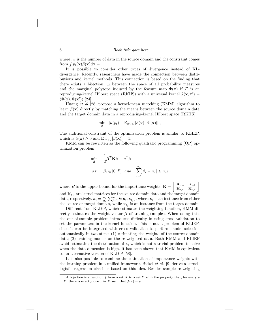where  $n<sub>s</sub>$  is the number of data in the source domain and the constraint comes from  $\int p_t(\mathbf{x})\beta(\mathbf{x})d\mathbf{x} = 1$ .

It is possible to consider other types of divergence instead of KLdivergence. Recently, researchers have made the connection between distributions and kernel methods. This connection is based on the finding that there exists a bijection<sup>1</sup>  $\mu$  between the space of all probability measures and the marginal polytope induced by the feature map  $\Phi(\mathbf{x})$  if F is an reproducing-kernel Hilbert space (RKHS) with a universal kernel  $k(\mathbf{x}, \mathbf{x}') =$  $\langle \Phi(\mathbf{x}), \Phi(\mathbf{x}') \rangle$  [24].

Huang et al. [28] propose a kernel-mean matching (KMM) algorithm to learn  $\beta(\mathbf{x})$  directly by matching the means between the source domain data and the target domain data in a reproducing-kernel Hilbert space (RKHS).

$$
\min_{\beta} \, ||\mu(p_t) - \mathbb{E}_{x \sim p_t}[\beta(\mathbf{x}) \cdot \Phi(\mathbf{x})]||,
$$

The additional constraint of the optimization problem is similar to KLIEP, which is  $\beta(\mathbf{x}) \geq 0$  and  $\mathbb{E}_{x \sim p_s}[\beta(\mathbf{x})] = 1$ .

KMM can be rewritten as the following quadratic programming (QP) optimization problem.

$$
\begin{aligned}\n\min_{\beta} & \quad \frac{1}{2} \boldsymbol{\beta}^T \mathbf{K} \boldsymbol{\beta} - \kappa^T \boldsymbol{\beta} \\
s.t. & \quad \beta_i \in [0, B] \quad and \quad |\sum_{i=1}^{n_s} \beta_i - n_s| \le n_s \epsilon\n\end{aligned}
$$

where B is the upper bound for the importance weights.  $\mathbf{K} = \begin{bmatrix} \mathbf{K}_{s,s} & \mathbf{K}_{s,t} \\ \mathbf{K}_{t,s} & \mathbf{K}_{t,t} \end{bmatrix}$ and  $\mathbf{K}_{t,t}$  are kernel matrices for the source domain data and the target domain data, respectively.  $\kappa_i = \frac{n_s}{n_t} \sum_{j=1}^{n_t} k(\mathbf{x}_i, \mathbf{x}_{t_j})$ , where  $\mathbf{x}_i$  is an instance from either the source or target domain, while  $\mathbf{x}_{t_j}$  is an instance from the target domain.

Different from KLIEP, which estimates the weighting function, KMM directly estimates the weight vector  $\beta$  of training samples. When doing this, the out-of-sample problem introduces difficulty in using cross validation to set the parameters in the kernel function. This is not a problem of KLIEP, since it can be integrated with cross validation to perform model selection automatically in two steps: (1) estimating the weights of the source domain data; (2) training models on the re-weighted data. Both KMM and KLIEP avoid estimating the distribution of  $x$ , which is not a trivial problem to solve when the data dimension is high. It has been shown that KMM is equivalent to an alternative version of KLIEP [58].

It is also possible to combine the estimation of importance weights with the learning problem in a unified framework. Bickel et al. [9] derive a kernellogistic regression classifier based on this idea. Besides sample re-weighting

<sup>&</sup>lt;sup>1</sup>A bijection is a function f from a set X to a set Y with the property that, for every y in Y, there is exactly one x in X such that  $f(x) = y$ .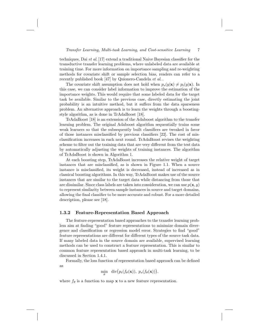techniques, Dai et al. [17] extend a traditional Naive Bayesian classifier for the transductive transfer learning problems, where unlabeled data are available at training time. For more information on importance sampling and re-weighting methods for covariate shift or sample selection bias, readers can refer to a recently published book [47] by Quionero-Candela *et al.*.

The covariate shift assumption does not hold when  $p_s(y|\mathbf{x}) \neq p_t(y|\mathbf{x})$ . In this case, we can consider label information to improve the estimation of the importance weights. This would require that some labeled data for the target task be available. Similar to the previous case, directly estimating the joint probability is an intuitive method, but it suffers from the data sparseness problem. An alternative approach is to learn the weights through a boostingstyle algorithm, as is done in TrAdaBoost [18].

TrAdaBoost [18] is an extension of the Adaboost algorithm to the transfer learning problem. The original Adaboost algorithm sequentially trains some weak learners so that the subsequently built classifiers are tweaked in favor of those instances misclassified by previous classifiers [22]. The cost of misclassification increases in each next round. TrAdaBoost revises the weighting scheme to filter out the training data that are very different from the test data by automatically adjusting the weights of training instances. The algorithm of TrAdaBoost is shown in Algorithm 1.

At each boosting step, TrAdaBoost increases the relative weight of target instances that are misclassified, as is shown in Figure 1.1. When a source instance is misclassified, its weight is decreased, instead of increased as in classical boosting algorithms. In this way, TrAdaBoost makes use of the source instances that are similar to the target data while distancing from those that are dissimilar. Since class labels are taken into consideration, we can use  $p(\mathbf{x}, y)$ to represent similarity between sample instances in source and target domains, allowing the final classifier to be more accurate and robust. For a more detailed description, please see [18].

#### 1.3.2 Feature-Representation Based Approach

The feature-representation based approaches to the transfer learning problem aim at finding "good" feature representations to minimize domain divergence and classification or regression model error. Strategies to find "good" feature representations are different for different types of the source task data. If many labeled data in the source domain are available, supervised learning methods can be used to construct a feature representation. This is similar to common feature representation based approach in multi-task learning, to be discussed in Section 1.4.1.

Formally, the loss function of representation based approach can be defined as

$$
\min_{\theta} \ \operatorname{div} (p_t(f_{\theta}(\mathbf{x})), \ p_s(f_{\theta}(\mathbf{x}))).
$$

where  $f_{\theta}$  is a function to map **x** to a new feature representation.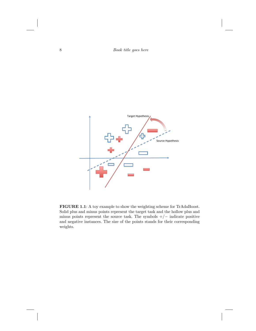

FIGURE 1.1: A toy example to show the weighting scheme for TrAdaBoost. Solid plus and minus points represent the target task and the hollow plus and minus points represent the source task. The symbols  $+/-$  indicate positive and negative instances. The size of the points stands for their corresponding weights.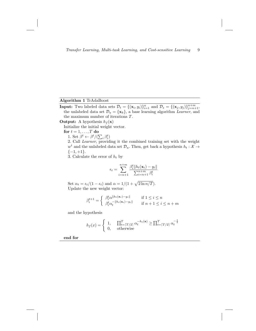#### Algorithm 1 TrAdaBoost

**Input:** Two labeled data sets  $\mathcal{D}_t = \{(\mathbf{x}_i, y_i)\}_{i=1}^n$  and  $\mathcal{D}_s = \{(\mathbf{x}_j, y_j)\}_{j=n+1}^{n+m}$ , the unlabeled data set  $\mathcal{D}_u = {\mathbf{x}_k}$ , a base learning algorithm Learner, and the maximum number of iterations T.

**Output:** A hypothesis  $h_f(\mathbf{x})$ 

Initialize the initial weight vector.

for  $t = 1, \ldots, T$  do

1. Set  $\beta^t \leftarrow \beta^t / (\sum_i \beta_i^t)$ 

2. Call Learner, providing it the combined training set with the weight  $w^t$  and the unlabeled data set  $\mathcal{D}_u$ . Then, get back a hypothesis  $h_t: \mathcal{X} \to$  $\{-1, +1\}.$ 

3. Calculate the error of  $h_t$  by

$$
\epsilon_t = \sum_{i=n+1}^{n+m} \frac{\beta_i^t \| h_t(\mathbf{x}_i) - y_i \|}{\sum_{i=n+1}^{n+m} \beta_i^t}
$$

Set  $\alpha_t = \epsilon_t/(1 - \epsilon_t)$  and  $\alpha = 1/(1 + \sqrt{2 \ln n/T})$ . Update the new weight vector:

$$
\beta_i^{t+1} = \begin{cases} \beta_i^t \alpha^{\|h_t(\mathbf{x}_i) - y_i\|} & \text{if } 1 \le i \le n \\ \beta_i^t \alpha_t^{-\|h_t(\mathbf{x}_i) - y_i\|} & \text{if } n+1 \le i \le n+m \end{cases}
$$

and the hypothesis

$$
h_f(x) = \begin{cases} 1, & \prod_{t=\lceil T/2 \rceil}^T \alpha_t^{-h_t(\mathbf{x})} \ge \prod_{t=\lceil T/2 \rceil}^T \alpha_t^{-\frac{1}{2}} \\ 0, & \text{otherwise} \end{cases}
$$

end for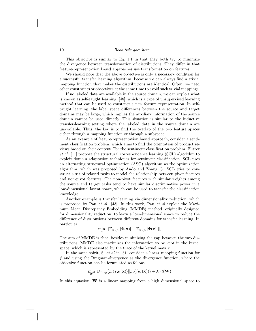This objective is similar to Eq. 1.1 in that they both try to minimize the divergence between transformation of distributions. They differ in that feature-representation based approaches use transformation on features.

We should note that the above objective is only a necessary condition for a successful transfer learning algorithm, because we can always find a trivial mapping function that makes the distributions are identical. Often, we need other constraints or objectives at the same time to avoid such trivial mappings.

If no labeled data are available in the source domain, we can exploit what is known as self-taught learning [48], which is a type of unsupervised learning method that can be used to construct a new feature representation. In selftaught learning, the label space differences between the source and target domains may be large, which implies the auxiliary information of the source domain cannot be used directly. This situation is similar to the inductive transfer-learning setting where the labeled data in the source domain are unavailable. Thus, the key is to find the overlap of the two feature spaces either through a mapping function or through a subspace.

As an example of feature-representation based approach, consider a sentiment classification problem, which aims to find the orientation of product reviews based on their content. For the sentiment classification problem, Blitzer et al. [11] propose the structural correspondence learning (SCL) algorithm to exploit domain adaptation techniques for sentiment classification. SCL uses an alternating structural optimization (ASO) algorithm as the optimization algorithm, which was proposed by Ando and Zhang [3]. SCL tries to construct a set of related tasks to model the relationship between pivot features and non-pivot features. The non-pivot features with similar weights among the source and target tasks tend to have similar discriminative power in a low-dimensional latent space, which can be used to transfer the classification knowledge.

Another example is transfer learning via dimensionality reduction, which is proposed by Pan *et al.* [43]. In this work, Pan *et al.* exploit the Maximum Mean Discrepancy Embedding (MMDE) method, originally designed for dimensionality reduction, to learn a low-dimensional space to reduce the difference of distributions between different domains for transfer learning. In particular,

$$
\min_{\beta} \ \|\mathbb{E}_{x \sim p_s}[\Phi(\mathbf{x})] - \mathbb{E}_{x \sim p_t}[\Phi(\mathbf{x})]\|,
$$

The aim of MMDE is that, besides minimizing the gap between the two distributions, MMDE also maximizes the information to be kept in the kernel space, which is represented by the trace of the kernel matrix.

In the same spirit, Si et al. in [51] consider a linear mapping function for f and using the Bregman-divergence as the divergence function, where the objective function can be formulated as follows,

$$
\min_{\boldsymbol{W}}\ \mathrm{D}_{\mathrm{Breg}}\big(p_t(f_{\mathbf{W}}(\mathbf{x}))||p_s(f_{\mathbf{W}}(\mathbf{x}))\big)+\lambda\cdot l(\mathbf{W})
$$

In this equation,  $W$  is a linear mapping from a high dimensional space to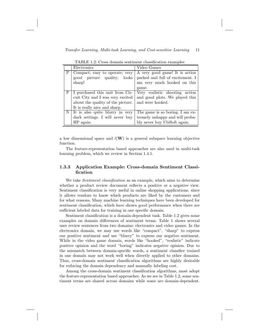|             | Electronics                       | Video Games                      |
|-------------|-----------------------------------|----------------------------------|
| P           | Compact; easy to operate; very    | A very good game! It is action   |
|             | good picture quality; looks       | packed and full of excitement. I |
|             | sharp!                            | am very much hooked on this      |
|             |                                   | game.                            |
| P           | I purchased this unit from Cir-   | Very realistic shooting action   |
|             | cuit City and I was very excited  | and good plots. We played this   |
|             | about the quality of the picture. | and were hooked.                 |
|             | It is really nice and sharp.      |                                  |
| $\mathbf N$ | It is also quite blurry in very   | The game is so boring. I am ex-  |
|             | dark settings. I will never buy   | tremely unhappy and will proba-  |
|             | HP again.                         | bly never buy UbiSoft again.     |

TABLE 1.2: Cross domain sentiment classification examples

a low dimensional space and  $l(\mathbf{W})$  is a general subspace learning objective function.

The feature-representation based approaches are also used in multi-task learning problem, which we review in Section 1.4.1.

### 1.3.3 Application Example: Cross-domain Sentiment Classification

We take *Sentiment classification* as an example, which aims to determine whether a product review document reflects a positive or a negative view. Sentiment classification is very useful in online shopping applications, since it allows vendors to know which products are liked by the customers and for what reasons. Many machine learning techniques have been developed for sentiment classification, which have shown good performance when there are sufficient labeled data for training in one specific domain.

Sentiment classification is a domain-dependent task. Table 1.2 gives some examples on domain differences of sentiment terms. Table 1 shows several user review sentences from two domains: electronics and video games. In the electronics domain, we may use words like "compact", "sharp" to express our positive sentiment and use "blurry" to express our negative sentiment. While in the video game domain, words like "hooked", "realistic" indicate positive opinion and the word "boring" indicates negative opinion. Due to the mismatch between domain-specific words, a sentiment classifier trained in one domain may not work well when directly applied to other domains. Thus, cross-domain sentiment classification algorithms are highly desirable for reducing the domain dependency and manually labeling cost.

Among the cross-domain sentiment classification algorithms, most adopt the feature-representation based approaches. As we see in Table 1.2, some sentiment terms are shared across domains while some are domain-dependent.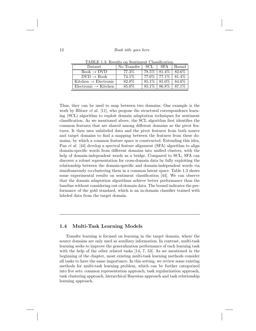| Dataset                          | No Transfer | SCL.  | SFA           | <b>Bound</b> |
|----------------------------------|-------------|-------|---------------|--------------|
| $Book \rightarrow DVD$           | 77.3%       | 78.5% | 81.4\%        | 82.6%        |
| $DVD \rightarrow Book$           | 74.1\%      |       | 77.6%   77.1% | 81.4%        |
| Kitchen $\rightarrow$ Electronic | 82.8%       | 85.1% | 85.0%         | 84.6%        |
| $Electronic \rightarrow Kitchen$ | 85.0%       | 85.1% |               |              |

TABLE 1.3: Results on Sentiment Classification.

Thus, they can be used to map between two domains. One example is the work by Blitzer *et al.* [11], who propose the structural correspondence learning (SCL) algorithm to exploit domain adaptation techniques for sentiment classification. As we mentioned above, the SCL algorithm first identifies the common features that are shared among different domains as the pivot features. It then uses unlabeled data and the pivot features from both source and target domains to find a mapping between the features from these domains, by which a common feature space is constructed. Extending this idea, Pan et al. [44] develop a spectral feature alignment (SFA) algorithm to align domain-specific words from different domains into unified clusters, with the help of domain-independent words as a bridge. Compared to SCL, SFA can discover a robust representation for cross-domain data by fully exploiting the relationship between the domain-specific and domain-independent words via simultaneously co-clustering them in a common latent space. Table 1.3 shows some experimental results on sentiment classification [44]. We can observe that the domain adaptation algorithms achieve better performance than the baseline without considering out-of-domain data. The bound indicates the performance of the gold standard, which is an in-domain classifier trained with labeled data from the target domain.

#### 1.4 Multi-Task Learning Models

Transfer learning is focused on learning in the target domain, where the source domains are only used as auxiliary information. In contrast, multi-task learning seeks to improve the generalization performance of each learning task with the help of the other related tasks [14, 7, 53]. As we mentioned in the beginning of the chapter, most existing multi-task learning methods consider all tasks to have the same importance. In this setting, we review some existing methods for multi-task learning problem, which can be further categorized into five sets: common representation approach, task regularization approach, task clustering approach, hierarchical Bayesian approach and task relationship learning approach.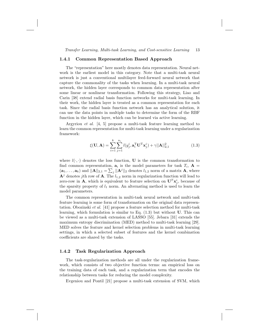#### 1.4.1 Common Representation Based Approach

The "representation" here mostly denotes data representation. Neural network is the earliest model in this category. Note that a multi-task neural network is just a conventional multilayer feed-forward neural network that capture the commonality of the tasks when learning. In a multi-task neural network, the hidden layer corresponds to common data representation after some linear or nonlinear transformation. Following this strategy, Liao and Carin [38] extend radial basis function networks for multi-task learning. In their work, the hidden layer is treated as a common representation for each task. Since the radial basis function network has an analytical solution, it can use the data points in multiple tasks to determine the form of the RBF function in the hidden layer, which can be learned via active learning.

Argyriou et al. [4, 5] propose a multi-task feature learning method to learn the common representation for multi-task learning under a regularization framework:

$$
\xi(\mathbf{U}, \mathbf{A}) = \sum_{i=1}^{k} \sum_{j=1}^{n_i} l(y_j^i, \mathbf{a}_i^{\mathrm{T}} \mathbf{U}^{\mathrm{T}} \mathbf{x}_j^i) + \gamma ||\mathbf{A}||_{2,1}^2
$$
(1.3)

where  $l(\cdot, \cdot)$  denotes the loss function, U is the common transformation to find common representation,  $a_i$  is the model parameters for task  $T_i$ ,  $A =$  $(\mathbf{a}_1, \ldots, \mathbf{a}_k)$  and  $||\mathbf{A}||_{2,1} = \sum_j ||\mathbf{A}^j||_2$  denotes  $l_{1,2}$  norm of a matrix **A**, where  $\mathbf{A}^j$  denotes jth row of  $\mathbf{A}$ . The  $l_{1,2}$  norm in regularization function will lead to zero-row in A, which is equivalent to feature selection on  $\mathbf{U}^T \mathbf{x}_j^i$ , because of the sparsity property of  $l_1$  norm. An alternating method is used to learn the model parameters.

The common representation in multi-task neural network and multi-task feature learning is some form of transformation on the original data representation. Obozinski et al. [41] propose a feature selection method for multi-task learning, which formulation is similar to Eq. (1.3) but without U. This can be viewed as a multi-task extension of LASSO [55]. Jebara [31] extends the maximum entropy discrimination (MED) method to multi-task learning [29]. MED solves the feature and kernel selection problems in multi-task learning settings, in which a selected subset of features and the kernel combination coefficients are shared by the tasks.

#### 1.4.2 Task Regularization Approach

The task-regularization methods are all under the regularization framework, which consists of two objective function terms: an empirical loss on the training data of each task, and a regularization term that encodes the relationship between tasks for reducing the model complexity.

Evgeniou and Pontil [21] propose a multi-task extension of SVM, which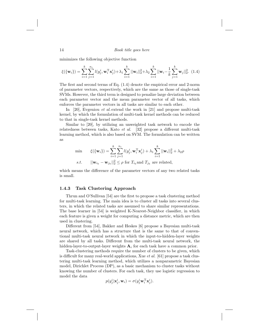minimizes the following objective function

$$
\xi(\{\mathbf{w}_i\}) = \sum_{i=1}^k \sum_{j=1}^{n_i} l(y_j^i, \mathbf{w}_i^{\mathrm{T}} \mathbf{x}_j^i) + \lambda_1 \sum_{i=1}^k ||\mathbf{w}_i||_2^2 + \lambda_2 \sum_{i=1}^k ||\mathbf{w}_i - \frac{1}{k} \sum_{j=1}^k \mathbf{w}_j||_2^2.
$$
 (1.4)

The first and second terms of Eq. (1.4) denote the empirical error and 2-norm of parameter vectors, respectively, which are the same as those of single-task SVMs. However, the third term is designed to penalize large deviation between each parameter vector and the mean parameter vector of all tasks, which enforces the parameter vectors in all tasks are similar to each other.

In [20], Evgeniou et al. extend the work in [21] and propose multi-task kernel, by which the formulation of multi-task kernel methods can be reduced to that in single-task kernel methods.

Similar to [20], by utilizing an unweighted task network to encode the relatedness between tasks, Kato et al. [32] propose a different multi-task learning method, which is also based on SVM. The formulation can be written as

$$
\begin{aligned}\n\min \qquad & \xi(\{\mathbf{w}_i\}) = \sum_{i=1}^k \sum_{j=1}^{n_i} l(y_j^i, \mathbf{w}_i^{\mathrm{T}} \mathbf{x}_j^i) + \lambda_1 \sum_{i=1}^k ||\mathbf{w}_i||_2^2 + \lambda_2 \rho \\
\text{s.t.} \qquad & ||\mathbf{w}_{i_k} - \mathbf{w}_{j_k}||_2^2 \le \rho \text{ for } T_{i_k} \text{ and } T_{j_k} \text{ are related,}\n\end{aligned}
$$

which means the difference of the parameter vectors of any two related tasks is small.

#### 1.4.3 Task Clustering Approach

Thrun and O'Sullivan [54] are the first to propose a task clustering method for multi-task learning. The main idea is to cluster all tasks into several clusters, in which the related tasks are assumed to share similar representations. The base learner in [54] is weighted K-Nearest-Neighbor classifier, in which each feature is given a weight for computing a distance metric, which are then used in clustering.

Different from [54], Bakker and Heskes [6] propose a Bayesian multi-task neural network, which has a structure that is the same to that of conventional multi-task neural network in which the input-to-hidden-layer weights are shared by all tasks. Different from the multi-task neural network, the hidden-layer-to-output-layer weights  $A_i$  for each task have a common prior.

Task-clustering methods require the number of clusters to be given, which is difficult for many real-world applications, Xue *et al.* [61] propose a task clustering multi-task learning method, which utilizes a nonparametric Bayesian model, Dirichlet Process (DP), as a basic mechanism to cluster tasks without knowing the number of clusters. For each task, they use logistic regression to model the data

$$
p(y_j^i|\mathbf{x}_j^i, \mathbf{w}_i) = \sigma(y_j^i \mathbf{w}_i^{\mathrm{T}} \mathbf{x}_j^i).
$$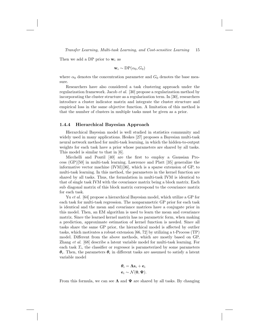Then we add a DP prior to  $w_i$  as

$$
\mathbf{w}_i \sim \text{DP}(\alpha_0, G_0)
$$

where  $\alpha_0$  denotes the concentration parameter and  $G_0$  denotes the base measure.

Researchers have also considered a task clustering approach under the regularization framework. Jacob et al. [30] propose a regularization method by incorporating the cluster structure as a regularization term. In [30], researchers introduce a cluster indicator matrix and integrate the cluster structure and empirical loss in the same objective function. A limitation of this method is that the number of clusters in multiple tasks must be given as a prior.

#### 1.4.4 Hierarchical Bayesian Approach

Hierarchical Bayesian model is well studied in statistics community and widely used in many applications. Heskes [27] proposes a Bayesian multi-task neural network method for multi-task learning, in which the hidden-to-output weights for each task have a prior whose parameters are shared by all tasks. This model is similar to that in [6].

Micchelli and Pontil [40] are the first to employ a Gaussian Process (GP)[50] in multi-task learning. Lawrence and Platt [35] generalize the informative vector machine  $(IVM)[36]$ , which is a sparse extension of GP, to multi-task learning. In this method, the parameters in the kernel function are shared by all tasks. Thus, the formulation in multi-task IVM is identical to that of single task IVM with the covariance matrix being a block matrix. Each sub diagonal matrix of this block matrix correspond to the covariance matrix for each task.

Yu et al. [64] propose a hierarchical Bayesian model, which utilize a GP for each task for multi-task regression. The nonparametric GP prior for each task is identical and the mean and covariance matrices have a conjugate prior in this model. Then, an EM algorithm is used to learn the mean and covariance matrix. Since the learned kernel matrix has no parametric form, when making a prediction, approximate estimation of kernel function is needed. Since all tasks share the same GP prior, the hierarchical model is affected by outlier tasks, which motivates a robust extension [66, 72] by utilizing a t-Process (TP) model. Different from the above methods, which are mostly based on GP, Zhang et al. [68] describe a latent variable model for multi-task learning. For each task  $T_i$ , the classifier or regressor is parameterized by some parameters  $\theta_i$ . Then, the parameters  $\theta_i$  in different tasks are assumed to satisfy a latent variable model

$$
\theta_i = \Lambda \mathbf{s}_i + \mathbf{e}_i
$$
  

$$
\mathbf{e}_i \sim \mathcal{N}(\mathbf{0}, \mathbf{\Psi}).
$$

From this formula, we can see  $\Lambda$  and  $\Psi$  are shared by all tasks. By changing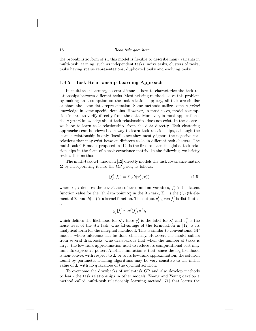the probabilistic form of  $s_i$ , this model is flexible to describe many variants in multi-task learning, such as independent tasks, noisy tasks, clusters of tasks, tasks having sparse representations, duplicated tasks and evolving tasks.

#### 1.4.5 Task Relationship Learning Approach

In multi-task learning, a central issue is how to characterize the task relationships between different tasks. Most existing methods solve this problem by making an assumption on the task relationship; e.g., all task are similar or share the same data representation. Some methods utilize some a priori knowledge in some specific domains. However, in most cases, model assumption is hard to verify directly from the data. Moreover, in most applications, the *a priori* knowledge about task relationships does not exist. In these cases, we hope to learn task relationships from the data directly. Task clustering approaches can be viewed as a way to learn task relationships, although the learned relationship is only 'local' since they mostly ignore the negative correlations that may exist between different tasks in different task clusters. The multi-task GP model proposed in [12] is the first to learn the global task relationships in the form of a task covariance matrix. In the following, we briefly review this method.

The multi-task GP model in [12] directly models the task covariance matrix  $\Sigma$  by incorporating it into the GP prior, as follows:

$$
\langle f_j^i, f_s^r \rangle = \Sigma_{ir} k(\mathbf{x}_j^i, \mathbf{x}_s^r), \tag{1.5}
$$

where  $\langle \cdot, \cdot \rangle$  denotes the covariance of two random variables,  $f_j^i$  is the latent function value for the *j*th data point  $\mathbf{x}_j^i$  in the *i*th task,  $\Sigma_{ir}$  is the  $(i, r)$ <sup>th</sup> element of  $\Sigma$ , and  $k(\cdot, \cdot)$  is a kernel function. The output  $y_j^i$  given  $f_j^i$  is distributed as

$$
y_j^i | f_j^i \sim \mathcal{N}(f_j^i, \sigma_i^2),
$$

which defines the likelihood for  $x_j^i$ . Here  $y_j^i$  is the label for  $x_j^i$  and  $\sigma_i^2$  is the noise level of the ith task. One advantage of the formulation in [12] is its analytical form for the marginal likelihood. This is similar to conventional GP models where inference can be done efficiently. However, the model suffers from several drawbacks. One drawback is that when the number of tasks is large, the low-rank approximation used to reduce its computational cost may limit its expressive power. Another limitation is that, since the log-likelihood is non-convex with respect to  $\Sigma$  or to its low-rank approximation, the solution found by parameter-learning algorithms may be very sensitive to the initial value of  $\Sigma$  with no guarantee of the optimal solution.

To overcome the drawbacks of multi-task GP and also develop methods to learn the task relationships in other models, Zhang and Yeung develop a method called multi-task relationship learning method [71] that learns the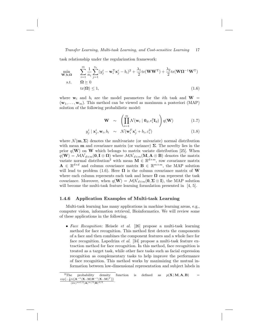task relationship under the regularization framework:

$$
\min_{\mathbf{W},\mathbf{b},\mathbf{\Omega}} \qquad \sum_{i=1}^{m} \frac{1}{n_i} \sum_{j=1}^{n_i} (y_j^i - \mathbf{w}_i^T \mathbf{x}_j^i - b_i)^2 + \frac{\lambda_1}{2} \text{tr}(\mathbf{W}\mathbf{W}^T) + \frac{\lambda_2}{2} \text{tr}(\mathbf{W}\mathbf{\Omega}^{-1}\mathbf{W}^T) \n\text{s.t.} \qquad \mathbf{\Omega} \succeq 0 \n\text{tr}(\mathbf{\Omega}) \le 1,
$$
\n(1.6)

where  $w_i$  and  $b_i$  are the model parameters for the *i*th task and  $W =$  $(\mathbf{w}_1, \ldots, \mathbf{w}_m)$ . This method can be viewed as maximum a posteriori (MAP) solution of the following probabilistic model:

$$
\mathbf{W} \sim \left( \prod_{i=1}^{m} \mathcal{N}(\mathbf{w}_i \mid \mathbf{0}_d, \epsilon_i^2 \mathbf{I}_d) \right) q(\mathbf{W}) \tag{1.7}
$$

$$
y_j^i \mid \mathbf{x}_j^i, \mathbf{w}_i, b_i \sim \mathcal{N}(\mathbf{w}_i^T \mathbf{x}_j^i + b_i, \varepsilon_i^2)
$$
 (1.8)

where  $\mathcal{N}(\mathbf{m}, \Sigma)$  denotes the multivariate (or univariate) normal distribution with mean **m** and covariance matrix (or variance)  $\Sigma$ . The novelty lies in the prior  $q(\mathbf{W})$  on W which belongs to matrix variate distribution [25]. When  $q(\mathbf{W}) = \mathcal{MN}_{d \times m}(\mathbf{0}, \mathbf{I} \otimes \mathbf{\Omega})$  where  $\mathcal{MN}_{d \times m}(\mathbf{M}, \mathbf{A} \otimes \mathbf{B})$  denotes the matrix variate normal distribution<sup>2</sup> with mean  $\mathbf{M} \in \mathbb{R}^{d \times m}$ , row covariance matrix  $\mathbf{A} \in \mathbb{R}^{d \times d}$  and column covariance matrix  $\mathbf{B} \in \mathbb{R}^{m \times m}$ , the MAP solution will lead to problem (1.6). Here  $\Omega$  is the column covariance matrix of W where each column represents each task and hence  $\Omega$  can represent the task covariance. Moreover, when  $q(\mathbf{W}) = \mathcal{MN}_{d \times m}(\mathbf{0}, \Sigma \otimes \mathbf{I})$ , the MAP solution will become the multi-task feature learning formulation presented in [4, 5].

#### 1.4.6 Application Examples of Multi-task Learning

Multi-task learning has many applications in machine learning areas, e.g., computer vision, information retrieval, Bioinformatics. We will review some of these applications in the following.

• Face Recognition: Heisele et al. [26] propose a multi-task learning method for face recognition. This method first detects the components of a face and then combines the component features and a whole face for face recognition. Lapedriza et al. [34] propose a multi-task feature extraction method for face recognition. In this method, face recognition is treated as a target task, while other face tasks such as facial expression recognition as complementary tasks to help improve the performance of face recognition. This method works by maximizing the mutual information between low-dimensional representation and subject labels in

<sup>&</sup>lt;sup>2</sup>The probability density function is defined as  $p(X | M, A, B)$  =  $\exp(-\frac{1}{2}\mathrm{tr}\left(\mathbf{A}^{-1}(\mathbf{X}-\mathbf{M})\mathbf{B}^{-1}(\mathbf{X}-\mathbf{M})^T\right))$ .

 $(2\pi)^{m d/2} |\mathbf{A}|^{m/2} |\mathbf{B}|^{d/2}$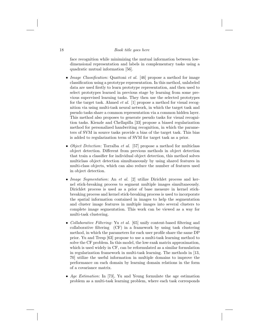face recognition while minimizing the mutual information between lowdimensional representation and labels in complementary tasks using a quadratic mutual information [56].

- *Image Classification:* Quattoni *et al.* [46] propose a method for image classification using a prototype representation. In this method, unlabeled data are used firstly to learn prototype representation, and then used to select prototypes learned in previous stage by learning from some previous supervised learning tasks. They then use the selected prototypes for the target task. Ahmed *et al.* [1] propose a method for visual recognition via using multi-task neural network, in which the target task and pseudo tasks share a common representation via a common hidden layer. This method also proposes to generate pseudo tasks for visual recognition tasks. Kienzle and Chellapilla [33] propose a biased regularization method for personalized handwriting recognition, in which the parameters of SVM in source tasks provide a bias of the target task. This bias is added to regularization term of SVM for target task as a prior.
- Object Detection: Torralba et al. [57] propose a method for multiclass object detection. Different from previous methods in object detection that train a classifier for individual object detection, this method solves multiclass object detection simultaneously by using shared features in multi-class objects, which can also reduce the number of features used in object detection.
- Image Segmentation: An et al. [2] utilize Dirichlet process and kernel stick-breaking process to segment multiple images simultaneously. Dirichlet process is used as a prior of base measure in kernel stickbreaking process and kernel stick-breaking process is used to incorporate the spatial information contained in images to help the segmentation and cluster image features in multiple images into several clusters to complete image segmentation. This work can be viewed as a way for multi-task clustering.
- *Collaborative Filtering:* Yu *et al.* [65] unify content-based filtering and collaborative filtering (CF) in a framework by using task clustering method, in which the parameters for each user profile share the same DP prior. Yu and Tresp [63] propose to use a multi-task learning method to solve the CF problem. In this model, the low-rank matrix approximation, which is used widely in CF, can be reformulated as a similar formulation in regularization framework in multi-task learning. The methods in [13, 70] utilize the useful information in multiple domains to improve the performance on each domain by learning domain relations in the form of a covariance matrix.
- Age Estimation: In [73], Yu and Yeung formulate the age estimation problem as a multi-task learning problem, where each task corresponds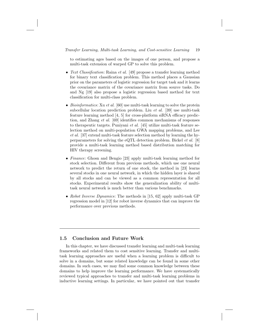to estimating ages based on the images of one person, and propose a multi-task extension of warped GP to solve this problem.

- Text Classification: Raina et al. [49] propose a transfer learning method for binary text classification problem. This method places a Gaussian prior on the parameters of logistic regression for target task and it learns the covariance matrix of the covariance matrix from source tasks. Do and Ng [19] also propose a logistic regression based method for text classification for multi-class problem.
- Bioinformatics: Xu et al. [60] use multi-task learning to solve the protein subcellular location prediction problem. Liu et al. [39] use multi-task feature learning method [4, 5] for cross-platform siRNA efficacy prediction, and Zhang et al. [69] identifies common mechanisms of responses to therapeutic targets. Puniyani et al. [45] utilize multi-task feature selection method on multi-population GWA mapping problems, and Lee et al. [37] extend multi-task feature selection method by learning the hyperparameters for solving the eQTL detection problem. Bickel et al. [8] provide a multi-task learning method based distribution matching for HIV therapy screening.
- Finance: Ghosn and Bengio [23] apply multi-task learning method for stock selection. Different from previous methods, which use one neural network to predict the return of one stock, the method in [23] learns several stocks in one neural network, in which the hidden layer is shared by all stocks and can be viewed as a common representation for all stocks. Experimental results show the generalization ability of multitask neural network is much better than various benchmarks.
- Robot Inverse Dynamics: The methods in [15, 62] apply multi-task GP regression model in [12] for robot inverse dynamics that can improve the performance over previous methods.

#### 1.5 Conclusion and Future Work

In this chapter, we have discussed transfer learning and multi-task learning frameworks and related them to cost sensitive learning. Transfer and multitask learning approaches are useful when a learning problem is difficult to solve in a domains, but some related knowledge can be found in some other domains. In such cases, we may find some common knowledge between these domains to help improve the learning performance. We have systematically reviewed typical approaches to transfer and multi-task learning problems in inductive learning settings. In particular, we have pointed out that transfer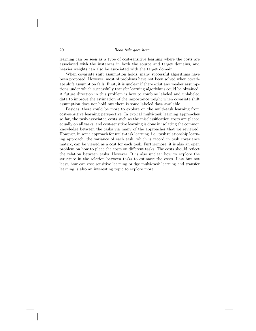learning can be seen as a type of cost-sensitive learning where the costs are associated with the instances in both the source and target domains, and heavier weights can also be associated with the target domain.

When covariate shift assumption holds, many successful algorithms have been proposed. However, most of problems have not been solved when covariate shift assumption fails. First, it is unclear if there exist any weaker assumptions under which successfully transfer learning algorithms could be obtained. A future direction in this problem is how to combine labeled and unlabeled data to improve the estimation of the importance weight when covariate shift assumption does not hold but there is some labeled data available.

Besides, there could be more to explore on the multi-task learning from cost-sensitive learning perspective. In typical multi-task learning approaches so far, the task-associated costs such as the misclassification costs are placed equally on all tasks, and cost-sensitive learning is done in isolating the common knowledge between the tasks via many of the approaches that we reviewed. However, in some approach for multi-task learning, i.e., task relationship learning approach, the variance of each task, which is record in task covariance matrix, can be viewed as a cost for each task. Furthermore, it is also an open problem on how to place the costs on different tasks. The costs should reflect the relation between tasks. However, It is also unclear how to explore the structure in the relation between tasks to estimate the costs. Last but not least, how can cost sensitive learning bridge multi-task learning and transfer learning is also an interesting topic to explore more.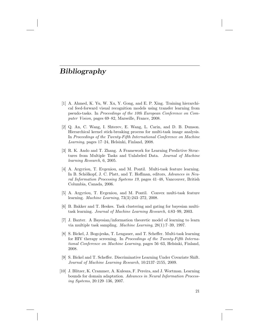### Bibliography

- [1] A. Ahmed, K. Yu, W. Xu, Y. Gong, and E. P. Xing. Training hierarchical feed-forward visual recognition models using transfer learning from pseudo-tasks. In Proceedings of the 10th European Conference on Computer Vision, pages 69–82, Marseille, France, 2008.
- [2] Q. An, C. Wang, I. Shterev, E. Wang, L. Carin, and D. B. Dunson. Hierarchical kernel stick-breaking process for multi-task image analysis. In Proceedings of the Twenty-Fifth International Conference on Machine Learning, pages 17–24, Helsinki, Finland, 2008.
- [3] R. K. Ando and T. Zhang. A Framework for Learning Predictive Structures from Multiple Tasks and Unlabeled Data. Journal of Machine learning Research, 6, 2005.
- [4] A. Argyriou, T. Evgeniou, and M. Pontil. Multi-task feature learning. In B. Schölkopf, J. C. Platt, and T. Hoffman, editors, Advances in Neural Information Processing Systems 19, pages 41–48, Vancouver, British Columbia, Canada, 2006.
- [5] A. Argyriou, T. Evgeniou, and M. Pontil. Convex multi-task feature learning. Machine Learning, 73(3):243–272, 2008.
- [6] B. Bakker and T. Heskes. Task clustering and gating for bayesian multitask learning. Journal of Machine Learning Research, 4:83–99, 2003.
- [7] J. Baxter. A Bayesian/information theoretic model of learning to learn via multiple task sampling. Machine Learning, 28(1):7–39, 1997.
- [8] S. Bickel, J. Bogojeska, T. Lengauer, and T. Scheffer. Multi-task learning for HIV therapy screening. In Proceedings of the Twenty-Fifth International Conference on Machine Learning, pages 56–63, Helsinki, Finland, 2008.
- [9] S. Bickel and T. Scheffer. Discriminative Learning Under Covariate Shift. Journal of Machine Learning Research, 10:2137–2155, 2009.
- [10] J. Blitzer, K. Crammer, A. Kulesza, F. Pereira, and J. Wortman. Learning bounds for domain adaptation. Advances in Neural Information Processing Systems, 20:129–136, 2007.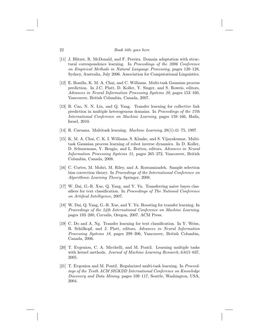- [11] J. Blitzer, R. McDonald, and F. Pereira. Domain adaptation with structural correspondence learning. In Proceedings of the 2006 Conference on Empirical Methods in Natural Language Processing, pages 120–128, Sydney, Australia, July 2006. Association for Computational Linguistics.
- [12] E. Bonilla, K. M. A. Chai, and C. Williams. Multi-task Gaussian process prediction. In J.C. Platt, D. Koller, Y. Singer, and S. Roweis, editors, Advances in Neural Information Processing Systems 20, pages 153–160, Vancouver, British Columbia, Canada, 2007.
- [13] B. Cao, N. N. Liu, and Q. Yang. Transfer learning for collective link prediction in multiple heterogenous domains. In Proceedings of the 27th International Conference on Machine Learning, pages 159–166, Haifa, Israel, 2010.
- [14] R. Caruana. Multitask learning. Machine Learning, 28(1):41–75, 1997.
- [15] K. M. A. Chai, C. K. I. Williams, S. Klanke, and S. Vijayakumar. Multitask Gaussian process learning of robot inverse dynamics. In D. Koller, D. Schuurmans, Y. Bengio, and L. Bottou, editors, Advances in Neural Information Processing Systems 21, pages 265–272, Vancouver, British Columbia, Canada, 2008.
- [16] C. Cortes, M. Mohri, M. Riley, and A. Rostamizadeh. Sample selection bias correction theory. In Proceedings of the International Conference on Algorithmic Learning Theory. Springer, 2008.
- [17] W. Dai, G.-R. Xue, Q. Yang, and Y. Yu. Transferring naive bayes classifiers for text classification. In Proceedings of The National Conference on Artifical Intelligence, 2007.
- [18] W. Dai, Q. Yang, G.-R. Xue, and Y. Yu. Boosting for transfer learning. In Proceedings of the 24th International Conference on Machine Learning, pages 193–200, Corvalis, Oregon, 2007. ACM Press.
- [19] C. Do and A. Ng. Transfer learning for text classification. In Y. Weiss, B. Schölkopf, and J. Platt, editors, Advances in Neural Information Processing Systems 18, pages 299–306, Vancouver, British Columbia, Canada, 2006.
- [20] T. Evgeniou, C. A. Micchelli, and M. Pontil. Learning multiple tasks with kernel methods. Journal of Machine Learning Research, 6:615–637, 2005.
- [21] T. Evgeniou and M. Pontil. Regularized multi-task learning. In Proceedings of the Tenth ACM SIGKDD International Conference on Knowledge Discovery and Data Mining, pages 109–117, Seattle, Washington, USA, 2004.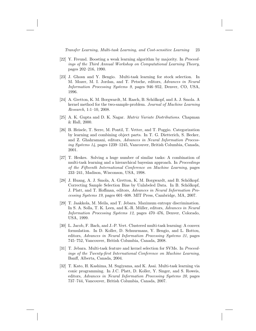- [22] Y. Freund. Boosting a weak learning algorithm by majority. In Proceedings of the Third Annual Workshop on Computational Learning Theory, pages 202–216, 1990.
- [23] J. Ghosn and Y. Bengio. Multi-task learning for stock selection. In M. Mozer, M. I. Jordan, and T. Petsche, editors, Advances in Neural Information Processing Systems 9, pages 946–952, Denver, CO, USA, 1996.
- [24] A. Gretton, K. M. Borgwardt, M. Rasch, B. Schölkopf, and A. J. Smola. A kernel method for the two-sample-problem. Journal of Machine Learning Research, 1:1–10, 2008.
- [25] A. K. Gupta and D. K. Nagar. Matrix Variate Distributions. Chapman & Hall, 2000.
- [26] B. Heisele, T. Serre, M. Pontil, T. Vetter, and T. Poggio. Categorization by learning and combining object parts. In T. G. Dietterich, S. Becker, and Z. Ghahramani, editors, Advances in Neural Information Processing Systems 14, pages 1239–1245, Vancouver, British Columbia, Canada, 2001.
- [27] T. Heskes. Solving a huge number of similar tasks: A combination of multi-task learning and a hierarchical bayesian approach. In Proceedings of the Fifteenth International Conference on Machine Learning, pages 233–241, Madison, Wisconson, USA, 1998.
- $[28]$  J. Huang, A. J. Smola, A. Gretton, K. M. Borgwardt, and B. Schölkopf. Correcting Sample Selection Bias by Unlabeled Data. In B. Schölkopf, J. Platt, and T. Hoffman, editors, Advances in Neural Information Processing Systems 19, pages 601–608. MIT Press, Cambridge, MA, 2007.
- [29] T. Jaakkola, M. Meila, and T. Jebara. Maximum entropy discrimination. In S. A. Solla, T. K. Leen, and K.-R. Müller, editors, Advances in Neural Information Processing Systems 12, pages 470–476, Denver, Colorado, USA, 1999.
- [30] L. Jacob, F. Bach, and J.-P. Vert. Clustered multi-task learning: A convex formulation. In D. Koller, D. Schuurmans, Y. Bengio, and L. Bottou, editors, Advances in Neural Information Processing Systems 21, pages 745–752, Vancouver, British Columbia, Canada, 2008.
- [31] T. Jebara. Multi-task feature and kernel selection for SVMs. In Proceedings of the Twenty-first International Conference on Machine Learning, Banff, Alberta, Canada, 2004.
- [32] T. Kato, H. Kashima, M. Sugiyama, and K. Asai. Multi-task learning via conic programming. In J.C. Platt, D. Koller, Y. Singer, and S. Roweis, editors, Advances in Neural Information Processing Systems 20, pages 737–744, Vancouver, British Columbia, Canada, 2007.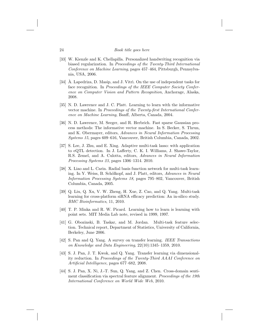- [33] W. Kienzle and K. Chellapilla. Personalized handwriting recognition via biased regularization. In Proceedings of the Twenty-Third International Conference on Machine Learning, pages 457–464, Pittsburgh, Pennsylvania, USA, 2006.
- [34] A. Lapedriza, D. Masip, and J. Vitri. On the use of independent tasks for face recognition. In Proceedings of the IEEE Computer Society Conference on Computer Vision and Pattern Recognition, Anchorage, Alaska, 2008.
- [35] N. D. Lawrence and J. C. Platt. Learning to learn with the informative vector machine. In Proceedings of the Twenty-first International Conference on Machine Learning, Banff, Alberta, Canada, 2004.
- [36] N. D. Lawrence, M. Seeger, and R. Herbrich. Fast sparse Gaussian process methods: The informative vector machine. In S. Becker, S. Thrun, and K. Obermayer, editors, Advances in Neural Information Processing Systems 15, pages 609–616, Vancouver, British Columbia, Canada, 2002.
- [37] S. Lee, J. Zhu, and E. Xing. Adaptive multi-task lasso: with application to eQTL detection. In J. Lafferty, C. K. I. Williams, J. Shawe-Taylor, R.S. Zemel, and A. Culotta, editors, Advances in Neural Information Processing Systems 23, pages 1306–1314. 2010.
- [38] X. Liao and L. Carin. Radial basis function network for multi-task learning. In Y. Weiss, B. Schölkopf, and J. Platt, editors, Advances in Neural Information Processing Systems 18, pages 795–802, Vancouver, British Columbia, Canada, 2005.
- [39] Q. Liu, Q. Xu, V. W. Zheng, H. Xue, Z. Cao, and Q. Yang. Multi-task learning for cross-platform siRNA efficacy prediction: An in-silico study. BMC Bioinformatics, 11, 2010.
- [40] T. P. Minka and R. W. Picard. Learning how to learn is learning with point sets. MIT Media Lab note, revised in 1999, 1997.
- [41] G. Obozinski, B. Taskar, and M. Jordan. Multi-task feature selection. Technical report, Department of Statistics, University of California, Berkeley, June 2006.
- [42] S. Pan and Q. Yang. A survey on transfer learning. IEEE Transactions on Knowledge and Data Engineering, 22(10):1345–1359, 2010.
- [43] S. J. Pan, J. T. Kwok, and Q. Yang. Transfer learning via dimensionality reduction. In Proceedings of the Twenty-Third AAAI Conference on Artificial Intelligence, pages 677–682, 2008.
- [44] S. J. Pan, X. Ni, J.-T. Sun, Q. Yang, and Z. Chen. Cross-domain sentiment classification via spectral feature alignment. Proceedings of the 19th International Conference on World Wide Web, 2010.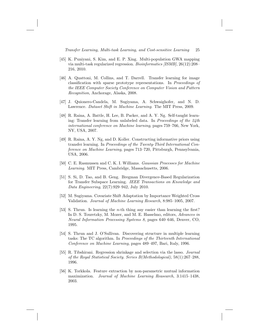- [45] K. Puniyani, S. Kim, and E. P. Xing. Multi-population GWA mapping via multi-task regularized regression. Bioinformatics [ISMB], 26(12):208– 216, 2010.
- [46] A. Quattoni, M. Collins, and T. Darrell. Transfer learning for image classification with sparse prototype representations. In Proceedings of the IEEE Computer Society Conference on Computer Vision and Pattern Recognition, Anchorage, Alaska, 2008.
- [47] J. Quionero-Candela, M. Sugiyama, A. Schwaighofer, and N. D. Lawrence. Dataset Shift in Machine Learning. The MIT Press, 2009.
- [48] R. Raina, A. Battle, H. Lee, B. Packer, and A. Y. Ng. Self-taught learning: Transfer learning from unlabeled data. In Proceedings of the 24th international conference on Machine learning, pages 759–766, New York, NY, USA, 2007.
- [49] R. Raina, A. Y. Ng, and D. Koller. Constructing informative priors using transfer learning. In Proceedings of the Twenty-Third International Conference on Machine Learning, pages 713–720, Pittsburgh, Pennsylvania, USA, 2006.
- [50] C. E. Rasmussen and C. K. I. Williams. Gaussian Processes for Machine Learning. MIT Press, Cambridge, Massachusetts, 2006.
- [51] S. Si, D. Tao, and B. Geng. Bregman Divergence-Based Regularization for Transfer Subspace Learning. IEEE Transactions on Knowledge and Data Engineering, 22(7):929–942, July 2010.
- [52] M. Sugiyama. Covariate Shift Adaptation by Importance Weighted Cross Validation. Journal of Machine Learning Research, 8:985–1005, 2007.
- [53] S. Thrun. Is learning the n-th thing any easier than learning the first? In D. S. Touretzky, M. Mozer, and M. E. Hasselmo, editors, Advances in Neural Information Processing Systems 8, pages 640–646, Denver, CO, 1995.
- [54] S. Thrun and J. O'Sullivan. Discovering structure in multiple learning tasks: The TC algorithm. In Proceedings of the Thirteenth International Conference on Machine Learning, pages 489–497, Bari, Italy, 1996.
- [55] R. Tibshirani. Regression shrinkage and selection via the lasso. Journal of the Royal Statistical Society. Series B(Methodological), 58(1):267–288, 1996.
- [56] K. Torkkola. Feature extraction by non-parametric mutual information maximization. Journal of Machine Learning Reasearch, 3:1415–1438, 2003.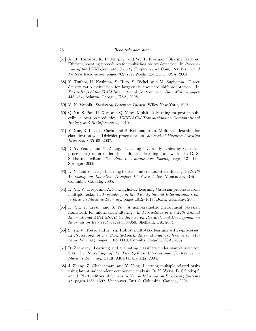- [57] A. B. Torralba, K. P. Murphy, and W. T. Freeman. Sharing features: Efficient boosting procedures for multiclass object detection. In Proceedings of the IEEE Computer Society Conference on Computer Vision and Pattern Recognition, pages 762–769, Washington, DC, USA, 2004.
- [58] Y. Tsuboi, H. Kashima, S. Hido, S. Bickel, and M. Sugiyama. Direct density ratio estimation for large-scale covariate shift adaptation. In Proceedings of the SIAM International Conference on Data Mining, pages 443–454, Atlanta, Georgia, USA, 2008.
- [59] V. N. Vapnik. Statistical Learning Theory. Wiley New York, 1998.
- [60] Q. Xu, S. Pan, H. Xue, and Q. Yang. Multitask learning for protein subcellular location prediction. IEEE/ACM Transactions on Computational Biology and Bioinformatics, 2010.
- [61] Y. Xue, X. Liao, L. Carin, and B. Krishnapuram. Multi-task learning for classification with Dirichlet process priors. Journal of Machine Learning Research, 8:35–63, 2007.
- [62] D.-Y. Yeung and Y. Zhang. Learning inverse dynamics by Gaussian process regression under the multi-task learning framework. In G. S. Sukhatme, editor, The Path to Autonomous Robots, pages 131–142. Springer, 2009.
- [63] K. Yu and V. Tresp. Learning to learn and collaborative filtering. In NIPS Workshop on Inductive Transfer: 10 Years Later, Vancouver, British Columbia, Canada, 2005.
- [64] K. Yu, V. Tresp, and A. Schwaighofer. Learning Gaussian processes from multiple tasks. In Proceedings of the Twenty-Second International Conference on Machine Learning, pages 1012–1019, Bonn, Germany, 2005.
- [65] K. Yu, V. Tresp, and S. Yu. A nonparametric hierarchical bayesian framework for information filtering. In Proceedings of the 27th Annual International ACM SIGIR Conference on Research and Development in Information Retrieval, pages 353–360, Sheffield, UK, 2004.
- [66] S. Yu, V. Tresp, and K. Yu. Robust multi-task learning with t-processes. In Proceedings of the Twenty-Fourth International Conference on Machine Learning, pages 1103–1110, Corvalis, Oregon, USA, 2007.
- [67] B. Zadrozny. Learning and evaluating classifiers under sample selection bias. In Proceedings of the Twenty-First International Conference on Machine Learning, Banff, Alberta, Canada, 2004.
- [68] J. Zhang, Z. Ghahramani, and Y. Yang. Learning multiple related tasks using latent independent component analysis. In Y. Weiss, B. Schölkopf, and J. Platt, editors, Advances in Neural Information Processing Systems 18, pages 1585–1592, Vancouver, British Columbia, Canada, 2005.